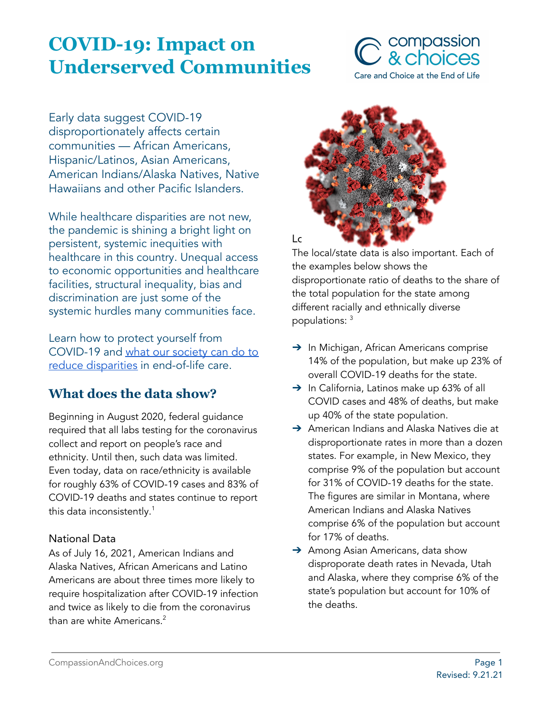# **COVID-19: Impact on Underserved Communities**



Early data suggest COVID-19 disproportionately affects certain communities — African Americans, Hispanic/Latinos, Asian Americans, American Indians/Alaska Natives, Native Hawaiians and other Pacific Islanders.

While healthcare disparities are not new, the pandemic is shining a bright light on persistent, systemic inequities with healthcare in this country. Unequal access to economic opportunities and healthcare facilities, structural inequality, bias and discrimination are just some of the systemic hurdles many communities face.

Learn how to protect yourself from COVID-19 and what our [society](#page-3-0) can do to reduce [disparities](#page-3-0) in end-of-life care.

# **What does the data show?**

Beginning in August 2020, federal guidance required that all labs testing for the coronavirus collect and report on people's race and ethnicity. Until then, such data was limited. Even today, data on race/ethnicity is available for roughly 63% of COVID-19 cases and 83% of COVID-19 deaths and states continue to report this data inconsistently. $^{\rm 1}$ 

#### National Data

As of July 16, 2021, American Indians and Alaska Natives, African Americans and Latino Americans are about three times more likely to require hospitalization after COVID-19 infection and twice as likely to die from the coronavirus than are white Americans. 2



The local/state data is also important. Each of the examples below shows the disproportionate ratio of deaths to the share of the total population for the state among different racially and ethnically diverse populations: 3

- → In Michigan, African Americans comprise 14% of the population, but make up 23% of overall COVID-19 deaths for the state.
- ➔ In California, Latinos make up 63% of all COVID cases and 48% of deaths, but make up 40% of the state population.
- ➔ American Indians and Alaska Natives die at disproportionate rates in more than a dozen states. For example, in New Mexico, they comprise 9% of the population but account for 31% of COVID-19 deaths for the state. The figures are similar in Montana, where American Indians and Alaska Natives comprise 6% of the population but account for 17% of deaths.
- → Among Asian Americans, data show disproporate death rates in Nevada, Utah and Alaska, where they comprise 6% of the state's population but account for 10% of the deaths.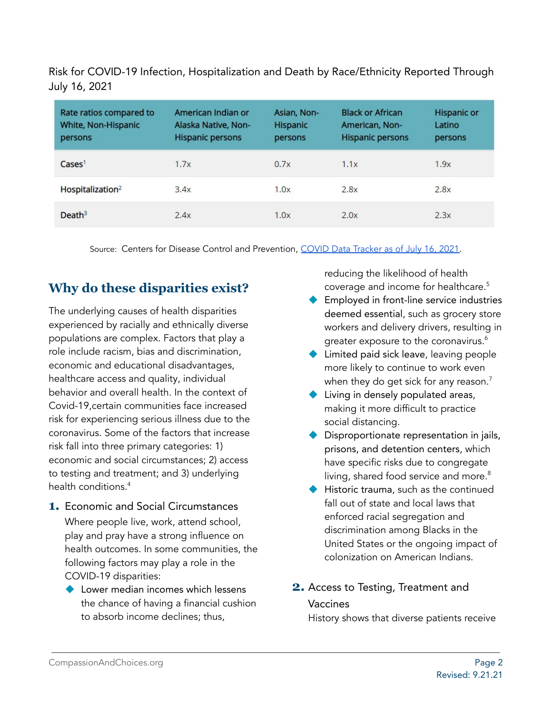Risk for COVID-19 Infection, Hospitalization and Death by Race/Ethnicity Reported Through July 16, 2021

| Rate ratios compared to<br>White, Non-Hispanic<br>persons | American Indian or<br>Alaska Native, Non-<br><b>Hispanic persons</b> | Asian, Non-<br>Hispanic<br>persons | <b>Black or African</b><br>American, Non-<br><b>Hispanic persons</b> | <b>Hispanic or</b><br>Latino<br>persons |
|-----------------------------------------------------------|----------------------------------------------------------------------|------------------------------------|----------------------------------------------------------------------|-----------------------------------------|
| $\text{Case} \mathsf{s}^1$                                | 1.7x                                                                 | 0.7x                               | 1.1x                                                                 | 1.9x                                    |
| Hospitalization <sup>2</sup>                              | 3.4x                                                                 | 1.0x                               | 2.8x                                                                 | 2.8x                                    |
| Death <sup>3</sup>                                        | 2.4x                                                                 | 1.0x                               | 2.0x                                                                 | 2.3x                                    |

Source: Centers for Disease Control and Prevention, COVID Data [Tracker](https://www.cdc.gov/coronavirus/2019-ncov/covid-data/investigations-discovery/hospitalization-death-by-race-ethnicity.html) as of July 16, 2021.

# **Why do these disparities exist?**

The underlying causes of health disparities experienced by racially and ethnically diverse populations are complex. Factors that play a role include racism, bias and discrimination, economic and educational disadvantages, healthcare access and quality, individual behavior and overall health. In the context of Covid-19,certain communities face increased risk for experiencing serious illness due to the coronavirus. Some of the factors that increase risk fall into three primary categories: 1) economic and social circumstances; 2) access to testing and treatment; and 3) underlying health conditions. 4

- **1.** Economic and Social Circumstances Where people live, work, attend school, play and pray have a strong influence on health outcomes. In some communities, the following factors may play a role in the COVID-19 disparities:
	- ◆ Lower median incomes which lessens the chance of having a financial cushion to absorb income declines; thus,

reducing the likelihood of health coverage and income for healthcare. 5

- ◆ Employed in front-line service industries deemed essential, such as grocery store workers and delivery drivers, resulting in greater exposure to the coronavirus. 6
- Limited paid sick leave, leaving people more likely to continue to work even when they do get sick for any reason. $^7$
- ◆ Living in densely populated areas, making it more difficult to practice social distancing.
- Disproportionate representation in jails, prisons, and detention centers, which have specific risks due to congregate living, shared food service and more. 8
- ◆ Historic trauma, such as the continued fall out of state and local laws that enforced racial segregation and discrimination among Blacks in the United States or the ongoing impact of colonization on American Indians.
- **2.** Access to Testing, Treatment and Vaccines

History shows that diverse patients receive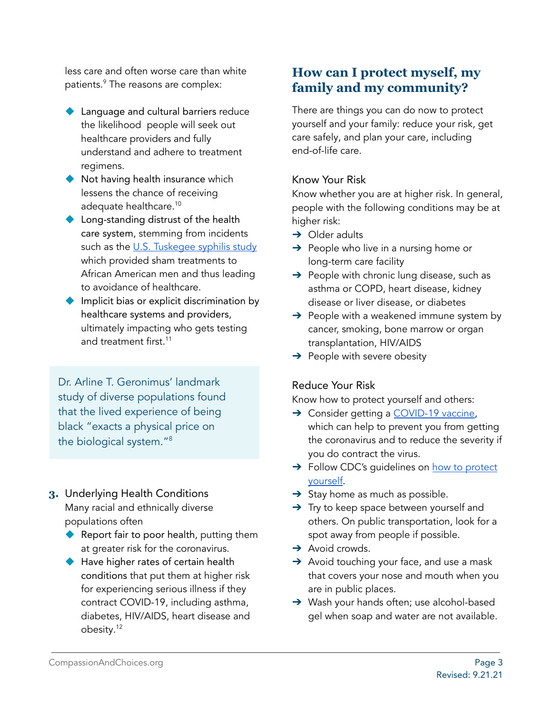less care and often worse care than white patients. <sup>9</sup> The reasons are complex:

- Language and cultural barriers reduce the likelihood people will seek out healthcare providers and fully understand and adhere to treatment regimens.
- ◆ Not having health insurance which lessens the chance of receiving adequate healthcare. 10
- ◆ Long-standing distrust of the health care system, stemming from incidents such as the U.S. [Tuskegee](https://www.washingtonpost.com/news/retropolis/wp/2017/05/16/youve-got-bad-blood-the-horror-of-the-tuskegee-syphilis-experiment/) syphilis study which provided sham treatments to African American men and thus leading to avoidance of healthcare.
- ◆ Implicit bias or explicit discrimination by healthcare systems and providers, ultimately impacting who gets testing and treatment first. 11

Dr. Arline T. Geronimus' landmark study of diverse populations found that the lived experience of being black "exacts a physical price on the biological system." 8

- **3.** Underlying Health Conditions Many racial and ethnically diverse populations often
	- ◆ Report fair to poor health, putting them at greater risk for the coronavirus.
	- ◆ Have higher rates of certain health conditions that put them at higher risk for experiencing serious illness if they contract COVID-19, including asthma, diabetes, HIV/AIDS, heart disease and obesity. 12

# **How can I protect myself, my family and my community?**

There are things you can do now to protect yourself and your family: reduce your risk, get care safely, and plan your care, including end-of-life care.

#### Know Your Risk

Know whether you are at higher risk. In general, people with the following conditions may be at higher risk:

- $\rightarrow$  Older adults
- $\rightarrow$  People who live in a nursing home or long-term care facility
- $\rightarrow$  People with chronic lung disease, such as asthma or COPD, heart disease, kidney disease or liver disease, or diabetes
- $\rightarrow$  People with a weakened immune system by cancer, smoking, bone marrow or organ transplantation, HIV/AIDS
- $\rightarrow$  People with severe obesity

#### Reduce Your Risk

Know how to protect yourself and others:

- → Consider getting a [COVID-19](https://www.cdc.gov/coronavirus/2019-ncov/vaccines/index.html) vaccine, [which](https://www.cdc.gov/coronavirus/2019-ncov/vaccines/index.html) can help to prevent you from getting the coronavirus and to reduce the severity if you do contract the virus.
- → Follow CDC's guidelines on how to [protect](https://www.cdc.gov/coronavirus/2019-ncov/prevent-getting-sick/prevention.html) [yourself](https://www.cdc.gov/coronavirus/2019-ncov/prevent-getting-sick/prevention.html).
- $\rightarrow$  Stay home as much as possible.
- → Try to keep space between yourself and others. On public transportation, look for a spot away from people if possible.
- $\rightarrow$  Avoid crowds.
- ➔ Avoid touching your face, and use a mask that covers your nose and mouth when you are in public places.
- → Wash your hands often; use alcohol-based gel when soap and water are not available.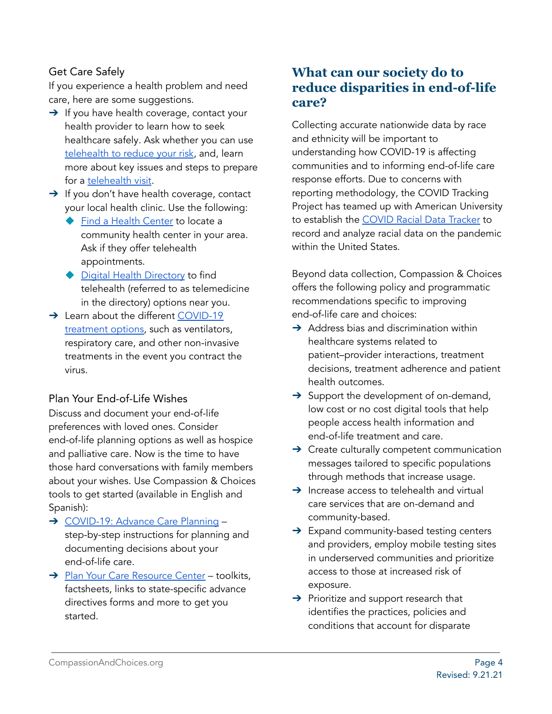#### Get Care Safely

If you experience a health problem and need care, here are some suggestions.

- $\rightarrow$  If you have health coverage, contact your health provider to learn how to seek healthcare safely. Ask whether you can use [telehealth](https://compassionandchoices.org/resource/covid-19-using-telehealth-to-reduce-your-risk/) to reduce your risk, and, learn more about key issues and steps to prepare for a [telehealth](https://telehealth.hhs.gov/patients/) visit.
- → If you don't have health coverage, contact your local health clinic. Use the following:
	- **Find a Health [Center](https://findahealthcenter.hrsa.gov/) to locate a** community health center in your area. Ask if they offer telehealth appointments.
	- ◆ Digital Health [Directory](https://www.techhealthdirectory.com/) to find telehealth (referred to as telemedicine in the directory) options near you.
- → Learn about the different [COVID-19](https://compassionandchoices.org/resource/covid-19-understanding-your-options/) [treatment](https://compassionandchoices.org/resource/covid-19-understanding-your-options/) options, such as ventilators, respiratory care, and other non-invasive treatments in the event you contract the virus.

#### Plan Your End-of-Life Wishes

Discuss and document your end-of-life preferences with loved ones. Consider end-of-life planning options as well as hospice and palliative care. Now is the time to have those hard conversations with family members about your wishes. Use Compassion & Choices tools to get started (available in English and Spanish):

- → [COVID-19:](https://compassionandchoices.org/resource/covid-19-advance-care-planning/) Advance Care Planning step-by-step instructions for planning and documenting decisions about your end-of-life care.
- → Plan Your Care [Resource](https://compassionandchoices.org/end-of-life-planning/) Center toolkits, factsheets, links to state-specific advance directives forms and more to get you started.

### **What can our society do to reduce disparities in end-of-life care?**

<span id="page-3-0"></span>Collecting accurate nationwide data by race and ethnicity will be important to understanding how COVID-19 is affecting communities and to informing end-of-life care response efforts. Due to concerns with reporting methodology, the COVID Tracking Project has teamed up with American University to establish the COVID Racial Data [Tracker](https://covidtracking.com/race) to record and analyze racial data on the pandemic within the United States.

Beyond data collection, Compassion & Choices offers the following policy and programmatic recommendations specific to improving end-of-life care and choices:

- $\rightarrow$  Address bias and discrimination within healthcare systems related to patient–provider interactions, treatment decisions, treatment adherence and patient health outcomes.
- $\rightarrow$  Support the development of on-demand, low cost or no cost digital tools that help people access health information and end-of-life treatment and care.
- → Create culturally competent communication messages tailored to specific populations through methods that increase usage.
- $\rightarrow$  Increase access to telehealth and virtual care services that are on-demand and community-based.
- ➔ Expand community-based testing centers and providers, employ mobile testing sites in underserved communities and prioritize access to those at increased risk of exposure.
- ➔ Prioritize and support research that identifies the practices, policies and conditions that account for disparate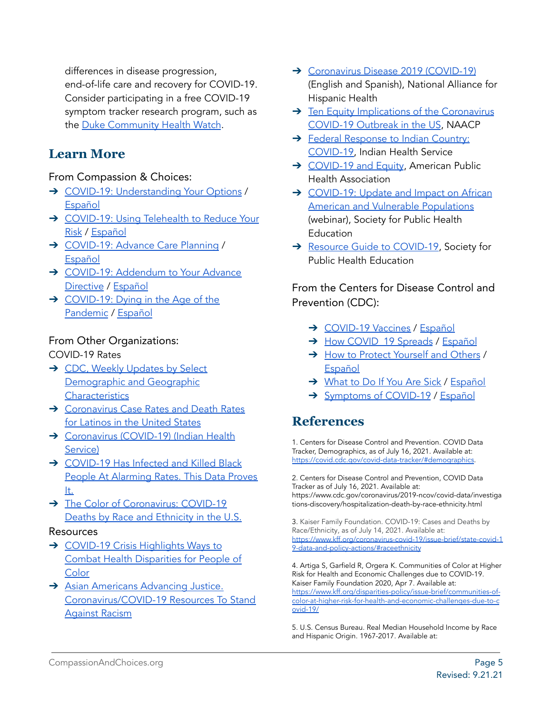differences in disease progression, end-of-life care and recovery for COVID-19. Consider participating in a free COVID-19 symptom tracker research program, such as the Duke [Community](https://covidwatch.dukehealth.org/) Health Watch.

# **Learn More**

#### From Compassion & Choices:

- → COVID-19: [Understanding](https://compassionandchoices.org/resource/covid-19-understanding-your-options/) Your Options / [Español](https://compassionandchoices.org/resource/covid-19-conociendo-sus-opciones/)
- → [COVID-19:](https://compassionandchoices.org/resource/covid-19-using-telehealth-to-reduce-your-risk/) Using Telehealth to Reduce Your [Risk](https://compassionandchoices.org/resource/covid-19-using-telehealth-to-reduce-your-risk/) / [Español](https://compassionandchoices.org/resource/covid-19-uso-de-telesalud-para-reducir-sus-riesgos/)
- → [COVID-19:](https://compassionandchoices.org/resource/covid-19-advance-care-planning/) Advance Care Planning / [Español](https://compassionandchoices.org/resource/covid-19-planificacion-anticipada-de-cuidados-de-salud/)
- → COVID-19: [Addendum](https://compassionandchoices.org/wp-content/uploads/COVID-19-Addendum.pdf) to Your Advance [Directive](https://compassionandchoices.org/wp-content/uploads/COVID-19-Addendum.pdf) / [Español](https://compassionandchoices.org/resource/covid-19-anexo-a-su-directiva-anticipada-documentando-sus-preferencias/)
- ➔ [COVID-19:](https://compassionandchoices.org/resource/covid-19-dying-in-the-age-of-the-pandemic/) Dying in the Age of the [Pandemic](https://compassionandchoices.org/resource/covid-19-dying-in-the-age-of-the-pandemic/) / [Español](https://compassionandchoices.org/resource/covid-19-muriendo-en-la-era-de-la-pandemia/)

#### From Other Organizations:

COVID-19 Rates

- → CDC, Weekly [Updates](https://www.cdc.gov/nchs/nvss/vsrr/covid_weekly/index.htm) by Select [Demographic](https://www.cdc.gov/nchs/nvss/vsrr/covid_weekly/index.htm) and Geographic **[Characteristics](https://www.cdc.gov/nchs/nvss/vsrr/covid_weekly/index.htm)**
- → [Coronavirus](https://salud-america.org/coronavirus-case-rates-and-death-rates-for-latinos-in-the-united-states/) Case Rates and Death Rates for [Latinos](https://salud-america.org/coronavirus-case-rates-and-death-rates-for-latinos-in-the-united-states/) in the United States
- → [Coronavirus](https://www.ihs.gov/coronavirus/) (COVID-19) (Indian Health [Service\)](https://www.ihs.gov/coronavirus/)
- → [COVID-19](https://www.motherjones.com/coronavirus-updates/2020/04/covid-19-has-infected-and-killed-black-people-at-alarming-rates-this-data-proves-it/) Has Infected and Killed Black People At [Alarming](https://www.motherjones.com/coronavirus-updates/2020/04/covid-19-has-infected-and-killed-black-people-at-alarming-rates-this-data-proves-it/) Rates. This Data Proves [It.](https://www.motherjones.com/coronavirus-updates/2020/04/covid-19-has-infected-and-killed-black-people-at-alarming-rates-this-data-proves-it/)
- → The Color of [Coronavirus:](https://www.apmresearchlab.org/covid/deaths-by-race) COVID-19 Deaths by Race and [Ethnicity](https://www.apmresearchlab.org/covid/deaths-by-race) in the U.S.

#### Resources

- → [COVID-19](https://inglewoodtoday.com/community/covid-19-crisis-highlights-ways-to-combat-health-disparities-for-people-of-color/) Crisis Highlights Ways to Combat Health [Disparities](https://inglewoodtoday.com/community/covid-19-crisis-highlights-ways-to-combat-health-disparities-for-people-of-color/) for People of **[Color](https://inglewoodtoday.com/community/covid-19-crisis-highlights-ways-to-combat-health-disparities-for-people-of-color/)**
- **→** Asian Americans [Advancing](https://advancingjustice-aajc.org/covid19) Justice. [Coronavirus/COVID-19](https://advancingjustice-aajc.org/covid19) Resources To Stand [Against](https://advancingjustice-aajc.org/covid19) Racism
- → [Coronavirus](https://www.healthyamericas.org/) Disease 2019 (COVID-19) (English and Spanish), National Alliance for Hispanic Health
- → Ten Equity [Implications](https://live-naacp-site.pantheonsite.io/wp-content/uploads/2020/03/Ten-Equity-Considerations-of-the-Coronavirus-COVID-19-Outbreak-in-the-United-States-FINAL.pdf) of the Coronavirus [COVID-19](https://live-naacp-site.pantheonsite.io/wp-content/uploads/2020/03/Ten-Equity-Considerations-of-the-Coronavirus-COVID-19-Outbreak-in-the-United-States-FINAL.pdf) Outbreak in the US, NAACP
- → Federal [Response](https://www.ihs.gov/coronavirus/faqs-federal-response-in-indian-country/) to Indian Country: [COVID-19,](https://www.ihs.gov/coronavirus/faqs-federal-response-in-indian-country/) Indian Health Service
- → [COVID-19](https://apha.org/topics-and-issues/communicable-disease/coronavirus/equity) and Equity, American Public Health Association
- → [COVID-19:](https://globalmeetwebinar.webcasts.com/starthere.jsp?ei=1303760&tp_key=e38e9b82a2) Update and Impact on African American and Vulnerable [Populations](https://globalmeetwebinar.webcasts.com/starthere.jsp?ei=1303760&tp_key=e38e9b82a2) (webinar), Society for Public Health Education
- → Resource Guide to [COVID-19,](https://www.sophe.org/focus-areas/coronavirus-covid-19/resources/) Society for Public Health Education

From the Centers for Disease Control and Prevention (CDC):

- → [COVID-19](https://www.cdc.gov/coronavirus/2019-ncov/vaccines/index.html) Vaccines / [Español](https://espanol.cdc.gov/coronavirus/2019-ncov/vaccines/index.html)
- → How COVID 19 Spreads / [Español](https://espanol.cdc.gov/coronavirus/2019-ncov/prevent-getting-sick/how-covid-spreads.html)
- → How to Protect [Yourself](https://www.cdc.gov/coronavirus/2019-ncov/prevent-getting-sick/prevention.html) and Others / [Español](https://espanol.cdc.gov/coronavirus/2019-ncov/prevent-getting-sick/prevention.html)
- → [What](https://www.cdc.gov/coronavirus/2019-ncov/if-you-are-sick/steps-when-sick.html) to Do If You Are Sick / [Español](https://espanol.cdc.gov/coronavirus/2019-ncov/if-you-are-sick/steps-when-sick.html)
- → [Symptoms](https://www.cdc.gov/coronavirus/2019-ncov/symptoms-testing/symptoms.html) of COVID-19 / [Español](https://espanol.cdc.gov/coronavirus/2019-ncov/symptoms-testing/symptoms.html)

# **References**

1. Centers for Disease Control and Prevention. COVID Data Tracker, Demographics, as of July 16, 2021. Available at: <https://covid.cdc.gov/covid-data-tracker/#demographics>.

2. Centers for Disease Control and Prevention, COVID Data Tracker as of July 16, 2021. Available at: [https://www.cdc.gov/coronavirus/2019-ncov/covid-data/investiga](https://www.cdc.gov/coronavirus/2019-ncov/covid-data/investigations-discovery/hospitalization-death-by-race-ethnicity.html) [tions-discovery/hospitalization-death-by-race-ethnicity.html](https://www.cdc.gov/coronavirus/2019-ncov/covid-data/investigations-discovery/hospitalization-death-by-race-ethnicity.html)

3. Kaiser Family Foundation. COVID-19: Cases and Deaths by Race/Ethnicity, as of July 14, 2021. Available at: [https://www.kff.org/coronavirus-covid-19/issue-brief/state-covid-1](https://www.kff.org/coronavirus-covid-19/issue-brief/state-covid-19-data-and-policy-actions/#raceethnicity) [9-data-and-policy-actions/#raceethnicity](https://www.kff.org/coronavirus-covid-19/issue-brief/state-covid-19-data-and-policy-actions/#raceethnicity)

4. Artiga S, Garfield R, Orgera K. Communities of Color at Higher Risk for Health and Economic Challenges due to COVID-19. Kaiser Family Foundation 2020, Apr 7. Available at: [https://www.kff.org/disparities-policy/issue-brief/communities-of](https://www.kff.org/disparities-policy/issue-brief/communities-of-color-at-higher-risk-for-health-and-economic-challenges-due-to-covid-19/)[color-at-higher-risk-for-health-and-economic-challenges-due-to-c](https://www.kff.org/disparities-policy/issue-brief/communities-of-color-at-higher-risk-for-health-and-economic-challenges-due-to-covid-19/) [ovid-19/](https://www.kff.org/disparities-policy/issue-brief/communities-of-color-at-higher-risk-for-health-and-economic-challenges-due-to-covid-19/)

5. U.S. Census Bureau. Real Median Household Income by Race and Hispanic Origin. 1967-2017. Available at: